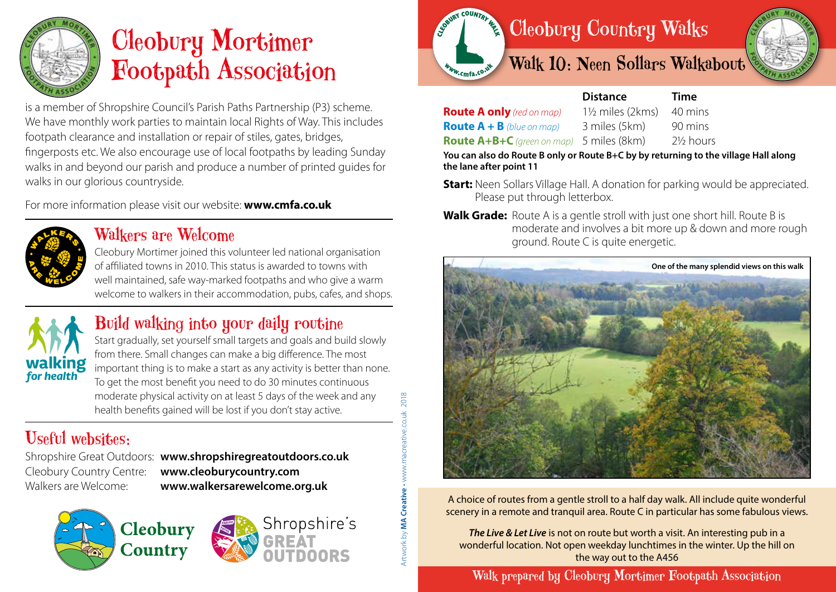

## Cleobury Mortimer Footpath Association

is a member of Shropshire Council's Parish Paths Partnership (P3) scheme. We have monthly work parties to maintain local Rights of Way. This includes footpath clearance and installation or repair of stiles, gates, bridges, fingerposts etc. We also encourage use of local footpaths by leading Sunday walks in and beyond our parish and produce a number of printed guides for walks in our glorious countryside.

For more information please visit our website: **www.cmfa.co.uk**



### Walkers are Welcome

Cleobury

Country

Cleobury Mortimer joined this volunteer led national organisation of affiliated towns in 2010. This status is awarded to towns with well maintained, safe way-marked footpaths and who give a warm welcome to walkers in their accommodation, pubs, cafes, and shops.



## Build walking into your daily routine

Start gradually, set yourself small targets and goals and build slowly from there. Small changes can make a big difference. The most important thing is to make a start as any activity is better than none. To get the most benefit you need to do 30 minutes continuous moderate physical activity on at least 5 days of the week and any health benefits gained will be lost if you don't stay active.

## Useful websites:

Shropshire Great Outdoors: **www.shropshiregreatoutdoors.co.uk**  Cleobury Country Centre: **www.cleoburycountry.com** Walkers are Welcome: **www.walkersarewelcome.org.uk**

Shropshire's



2018



 **Distance Time**

**Route A only** *(red on map)* 1½ miles (2kms) 40 mins **Route**  $A + B$  (blue on map) 3 miles (5km) 90 mins **Route A+B+C** *(green on map)* 5 miles (8km) 2½ hours

**You can also do Route B only or Route B+C by by returning to the village Hall along the lane after point 11**

- **Start:** Neen Sollars Village Hall. A donation for parking would be appreciated. Please put through letterbox.
- **Walk Grade:** Route A is a gentle stroll with just one short hill. Route B is moderate and involves a bit more up & down and more rough ground. Route C is quite energetic.



A choice of routes from a gentle stroll to a half day walk. All include quite wonderful scenery in a remote and tranquil area. Route C in particular has some fabulous views.

*The Live & Let Live* is not on route but worth a visit. An interesting pub in a wonderful location. Not open weekday lunchtimes in the winter. Up the hill on the way out to the A456

Walk prepared by Cleobury Mortimer Footpath Association